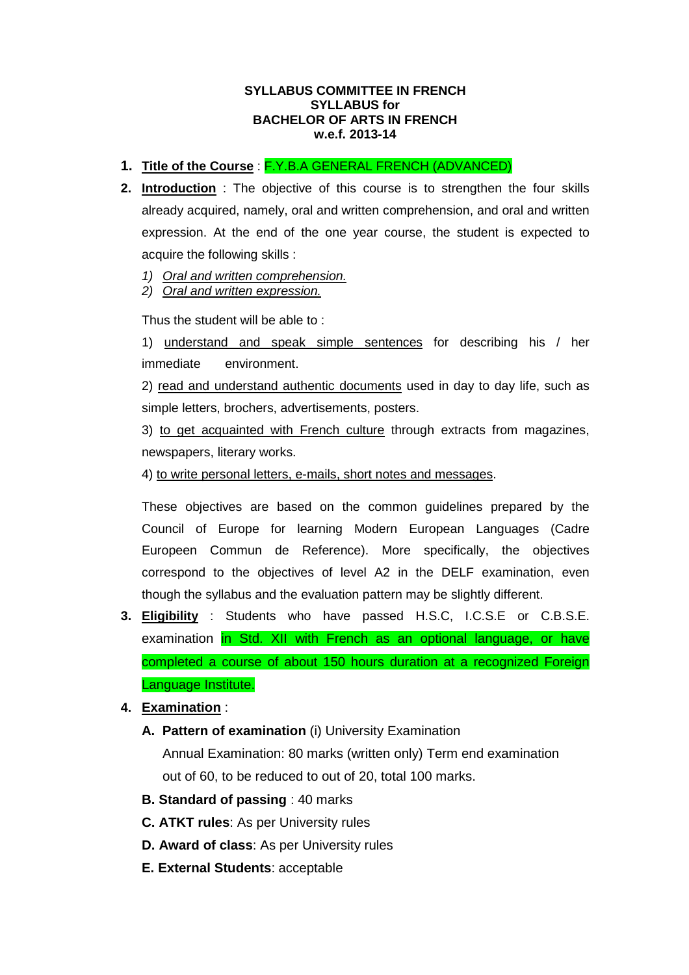#### **SYLLABUS COMMITTEE IN FRENCH SYLLABUS for BACHELOR OF ARTS IN FRENCH w.e.f. 2013-14**

- **1. Title of the Course** : F.Y.B.A GENERAL FRENCH (ADVANCED)
- **2. Introduction** : The objective of this course is to strengthen the four skills already acquired, namely, oral and written comprehension, and oral and written expression. At the end of the one year course, the student is expected to acquire the following skills :
	- 1) Oral and written comprehension.
	- 2) Oral and written expression.

Thus the student will be able to :

 1) understand and speak simple sentences for describing his / her immediate environment.

 2) read and understand authentic documents used in day to day life, such as simple letters, brochers, advertisements, posters.

 3) to get acquainted with French culture through extracts from magazines, newspapers, literary works.

4) to write personal letters, e-mails, short notes and messages.

 These objectives are based on the common guidelines prepared by the Council of Europe for learning Modern European Languages (Cadre Europeen Commun de Reference). More specifically, the objectives correspond to the objectives of level A2 in the DELF examination, even though the syllabus and the evaluation pattern may be slightly different.

- **3. Eligibility** : Students who have passed H.S.C, I.C.S.E or C.B.S.E. examination in Std. XII with French as an optional language, or have completed a course of about 150 hours duration at a recognized Foreign Language Institute.
- **4. Examination** :
	- **A. Pattern of examination** (i) University Examination Annual Examination: 80 marks (written only) Term end examination out of 60, to be reduced to out of 20, total 100 marks.
	- **B. Standard of passing** : 40 marks
	- **C. ATKT rules**: As per University rules
	- **D. Award of class**: As per University rules
	- **E. External Students**: acceptable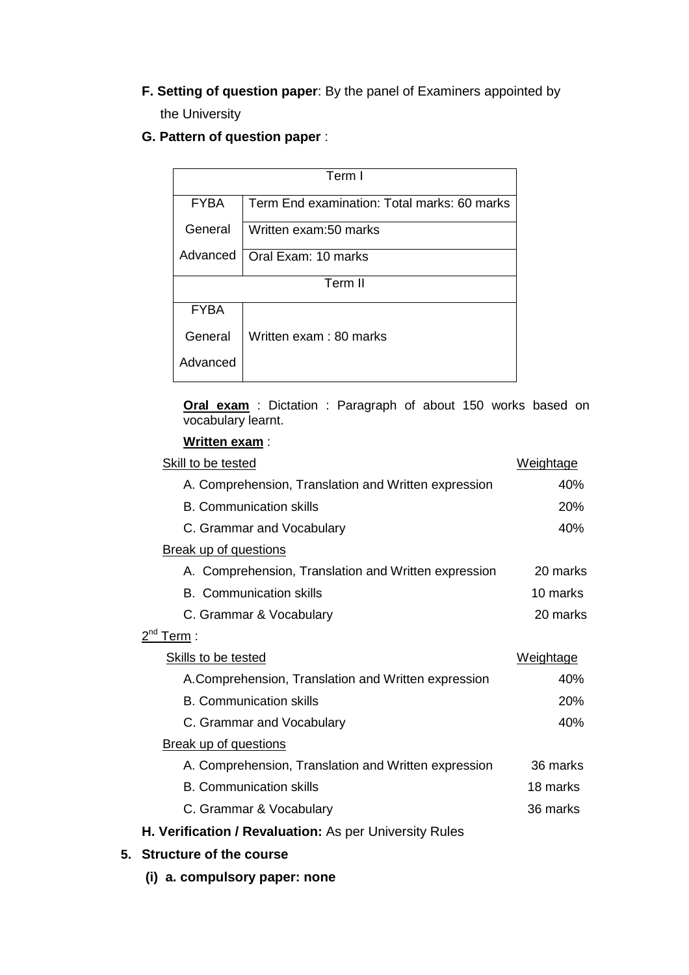- **F. Setting of question paper**: By the panel of Examiners appointed by the University
- **G. Pattern of question paper** :

| Term I      |                                             |  |
|-------------|---------------------------------------------|--|
| <b>FYBA</b> | Term End examination: Total marks: 60 marks |  |
| General     | Written exam:50 marks                       |  |
| Advanced    | Oral Exam: 10 marks                         |  |
| Term II     |                                             |  |
| <b>FYBA</b> |                                             |  |
| General     | Written exam: 80 marks                      |  |
| Advanced    |                                             |  |

**Oral exam** : Dictation : Paragraph of about 150 works based on vocabulary learnt.

### **Written exam** :

| Skill to be tested                                     | Weightage        |  |
|--------------------------------------------------------|------------------|--|
| A. Comprehension, Translation and Written expression   | 40%              |  |
| <b>B. Communication skills</b>                         | 20%              |  |
| C. Grammar and Vocabulary                              | 40%              |  |
| <b>Break up of questions</b>                           |                  |  |
| A. Comprehension, Translation and Written expression   | 20 marks         |  |
| <b>B.</b> Communication skills                         | 10 marks         |  |
| C. Grammar & Vocabulary                                | 20 marks         |  |
| $2^{nd}$ Term :                                        |                  |  |
| <b>Skills to be tested</b>                             | <u>Weightage</u> |  |
| A.Comprehension, Translation and Written expression    | 40%              |  |
| <b>B. Communication skills</b>                         | 20%              |  |
| C. Grammar and Vocabulary                              | 40%              |  |
| <b>Break up of questions</b>                           |                  |  |
| A. Comprehension, Translation and Written expression   | 36 marks         |  |
| <b>B. Communication skills</b>                         | 18 marks         |  |
| C. Grammar & Vocabulary                                | 36 marks         |  |
| H. Verification / Revaluation: As per University Rules |                  |  |

- **5. Structure of the course** 
	- **(i) a. compulsory paper: none**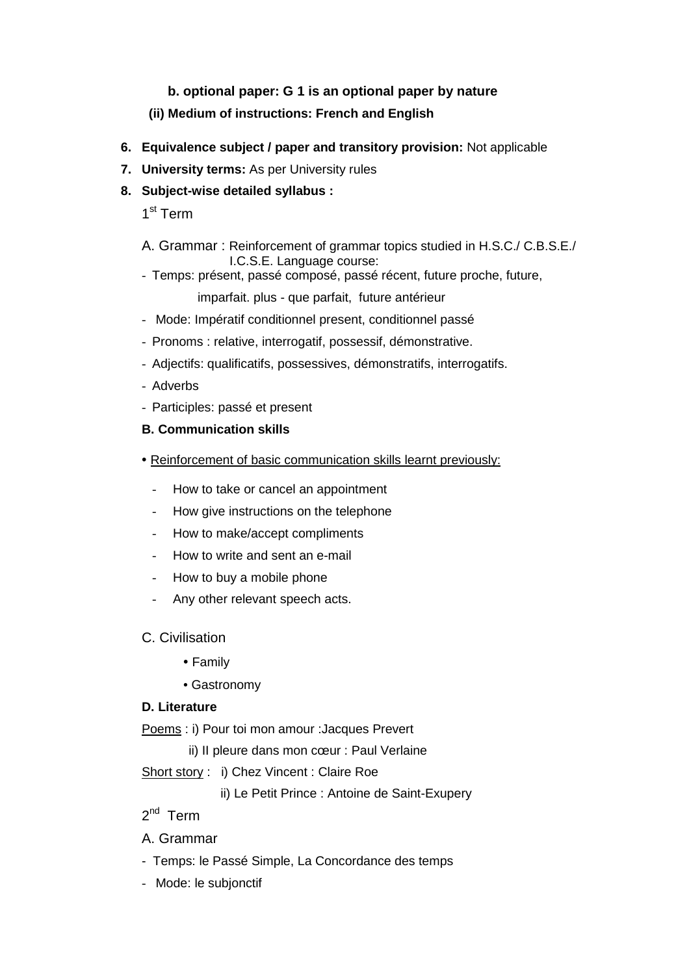# **b. optional paper: G 1 is an optional paper by nature**

# **(ii) Medium of instructions: French and English**

- **6. Equivalence subject / paper and transitory provision:** Not applicable
- **7. University terms:** As per University rules
- **8. Subject-wise detailed syllabus :**

1<sup>st</sup> Term

- A. Grammar : Reinforcement of grammar topics studied in H.S.C./ C.B.S.E./ I.C.S.E. Language course:
- Temps: présent, passé composé, passé récent, future proche, future,

imparfait. plus - que parfait, future antérieur

- Mode: Impératif conditionnel present, conditionnel passé
- Pronoms : relative, interrogatif, possessif, démonstrative.
- Adjectifs: qualificatifs, possessives, démonstratifs, interrogatifs.
- Adverbs
- Participles: passé et present

# **B. Communication skills**

- Reinforcement of basic communication skills learnt previously:
	- How to take or cancel an appointment
	- How give instructions on the telephone
	- How to make/accept compliments
	- How to write and sent an e-mail
	- How to buy a mobile phone
	- Any other relevant speech acts.
- C. Civilisation
	- Family
	- Gastronomy

# **D. Literature**

Poems : i) Pour toi mon amour :Jacques Prevert

ii) II pleure dans mon cœur : Paul Verlaine

Short story : i) Chez Vincent : Claire Roe

ii) Le Petit Prince : Antoine de Saint-Exupery

# $2^{nd}$  Term

# A. Grammar

- Temps: le Passé Simple, La Concordance des temps
- Mode: le subjonctif